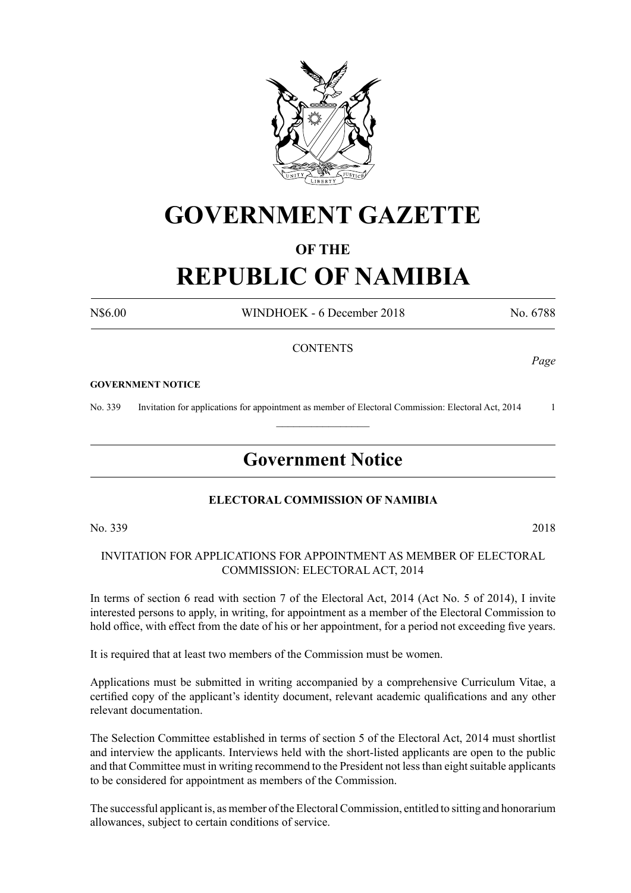

# **GOVERNMENT GAZETTE**

# **OF THE**

# **REPUBLIC OF NAMIBIA**

N\$6.00 WINDHOEK - 6 December 2018 No. 6788

*Page*

## **CONTENTS**

#### **GOVERNMENT NOTICE**

No. 339 Invitation for applications for appointment as member of Electoral Commission: Electoral Act, 2014 1  $\frac{1}{2}$ 

# **Government Notice**

### **ELECTORAL COMMISSION OF NAMIBIA**

No. 339 2018

INVITATION FOR APPLICATIONS FOR APPOINTMENT AS MEMBER OF ELECTORAL COMMISSION: ELECTORAL ACT, 2014

In terms of section 6 read with section 7 of the Electoral Act, 2014 (Act No. 5 of 2014), I invite interested persons to apply, in writing, for appointment as a member of the Electoral Commission to hold office, with effect from the date of his or her appointment, for a period not exceeding five years.

It is required that at least two members of the Commission must be women.

Applications must be submitted in writing accompanied by a comprehensive Curriculum Vitae, a certified copy of the applicant's identity document, relevant academic qualifications and any other relevant documentation.

The Selection Committee established in terms of section 5 of the Electoral Act, 2014 must shortlist and interview the applicants. Interviews held with the short-listed applicants are open to the public and that Committee must in writing recommend to the President not less than eight suitable applicants to be considered for appointment as members of the Commission.

The successful applicant is, as member of the Electoral Commission, entitled to sitting and honorarium allowances, subject to certain conditions of service.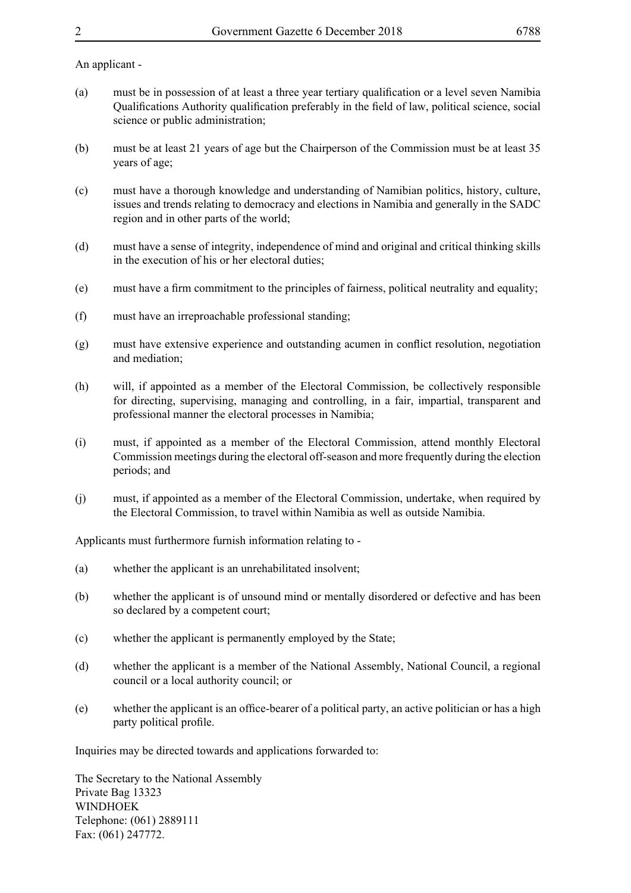### An applicant -

- (a) must be in possession of at least a three year tertiary qualification or a level seven Namibia Qualifications Authority qualification preferably in the field of law, political science, social science or public administration;
- (b) must be at least 21 years of age but the Chairperson of the Commission must be at least 35 years of age;
- (c) must have a thorough knowledge and understanding of Namibian politics, history, culture, issues and trends relating to democracy and elections in Namibia and generally in the SADC region and in other parts of the world;
- (d) must have a sense of integrity, independence of mind and original and critical thinking skills in the execution of his or her electoral duties;
- (e) must have a firm commitment to the principles of fairness, political neutrality and equality;
- (f) must have an irreproachable professional standing;
- (g) must have extensive experience and outstanding acumen in conflict resolution, negotiation and mediation;
- (h) will, if appointed as a member of the Electoral Commission, be collectively responsible for directing, supervising, managing and controlling, in a fair, impartial, transparent and professional manner the electoral processes in Namibia;
- (i) must, if appointed as a member of the Electoral Commission, attend monthly Electoral Commission meetings during the electoral off-season and more frequently during the election periods; and
- (j) must, if appointed as a member of the Electoral Commission, undertake, when required by the Electoral Commission, to travel within Namibia as well as outside Namibia.

Applicants must furthermore furnish information relating to -

- (a) whether the applicant is an unrehabilitated insolvent;
- (b) whether the applicant is of unsound mind or mentally disordered or defective and has been so declared by a competent court;
- (c) whether the applicant is permanently employed by the State;
- (d) whether the applicant is a member of the National Assembly, National Council, a regional council or a local authority council; or
- (e) whether the applicant is an office-bearer of a political party, an active politician or has a high party political profile.

Inquiries may be directed towards and applications forwarded to:

The Secretary to the National Assembly Private Bag 13323 WINDHOEK Telephone: (061) 2889111 Fax: (061) 247772.